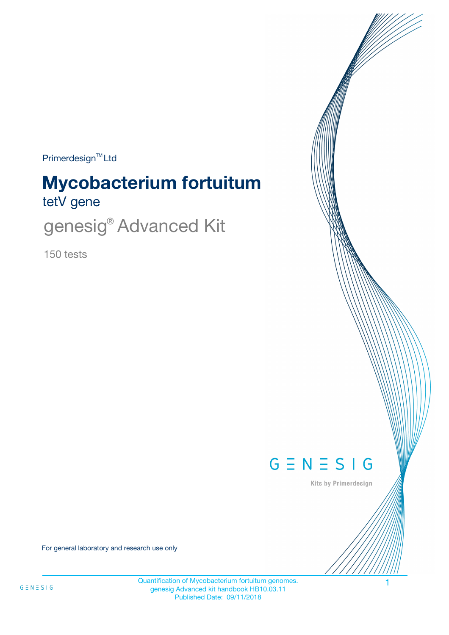Primerdesign<sup>™</sup>Ltd

# tetV gene **Mycobacterium fortuitum**

genesig® Advanced Kit

150 tests



Kits by Primerdesign

For general laboratory and research use only

Quantification of Mycobacterium fortuitum genomes. 1 genesig Advanced kit handbook HB10.03.11 Published Date: 09/11/2018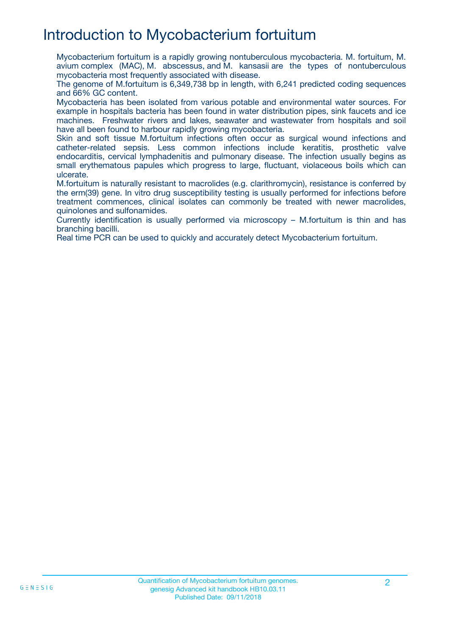## Introduction to Mycobacterium fortuitum

Mycobacterium fortuitum is a rapidly growing nontuberculous mycobacteria. M. fortuitum, M. avium complex (MAC), M. abscessus, and M. kansasii are the types of nontuberculous mycobacteria most frequently associated with disease.

The genome of M.fortuitum is 6,349,738 bp in length, with 6,241 predicted coding sequences and 66% GC content.

Mycobacteria has been isolated from various potable and environmental water sources. For example in hospitals bacteria has been found in water distribution pipes, sink faucets and ice machines. Freshwater rivers and lakes, seawater and wastewater from hospitals and soil have all been found to harbour rapidly growing mycobacteria.

Skin and soft tissue M.fortuitum infections often occur as surgical wound infections and catheter-related sepsis. Less common infections include keratitis, prosthetic valve endocarditis, cervical lymphadenitis and pulmonary disease. The infection usually begins as small erythematous papules which progress to large, fluctuant, violaceous boils which can ulcerate.

M.fortuitum is naturally resistant to macrolides (e.g. clarithromycin), resistance is conferred by the erm(39) gene. In vitro drug susceptibility testing is usually performed for infections before treatment commences, clinical isolates can commonly be treated with newer macrolides, quinolones and sulfonamides.

Currently identification is usually performed via microscopy – M.fortuitum is thin and has branching bacilli.

Real time PCR can be used to quickly and accurately detect Mycobacterium fortuitum.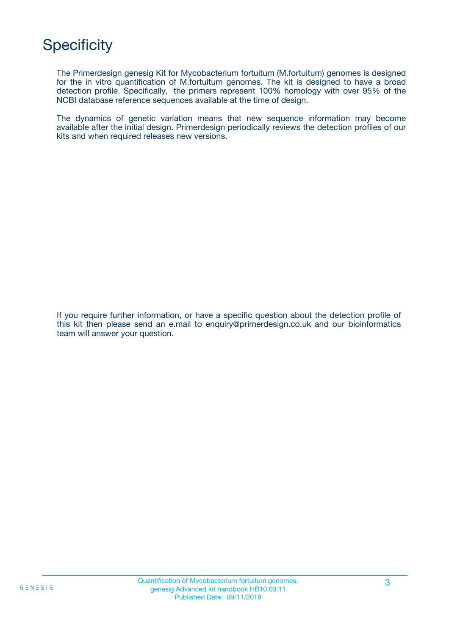## **Specificity**

The Primerdesign genesig Kit for Mycobacterium fortuitum (M.fortuitum) genomes is designed for the in vitro quantification of M.fortuitum genomes. The kit is designed to have a broad detection profile. Specifically, the primers represent 100% homology with over 95% of the NCBI database reference sequences available at the time of design.

The dynamics of genetic variation means that new sequence information may become available after the initial design. Primerdesign periodically reviews the detection profiles of our kits and when required releases new versions.

If you require further information, or have a specific question about the detection profile of this kit then please send an e.mail to enquiry@primerdesign.co.uk and our bioinformatics team will answer your question.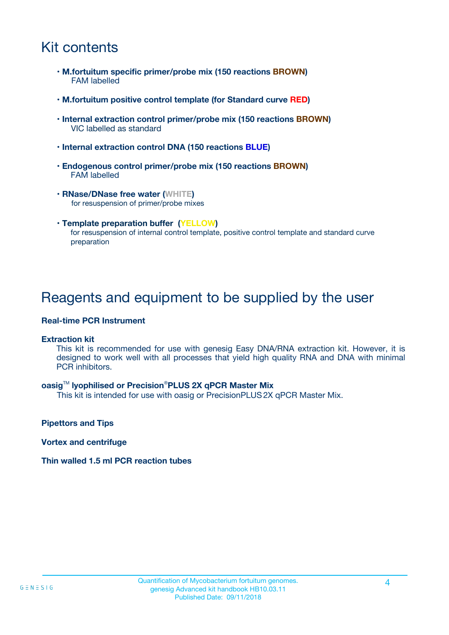## Kit contents

- **M.fortuitum specific primer/probe mix (150 reactions BROWN)** FAM labelled
- **M.fortuitum positive control template (for Standard curve RED)**
- **Internal extraction control primer/probe mix (150 reactions BROWN)** VIC labelled as standard
- **Internal extraction control DNA (150 reactions BLUE)**
- **Endogenous control primer/probe mix (150 reactions BROWN)** FAM labelled
- **RNase/DNase free water (WHITE)** for resuspension of primer/probe mixes
- **Template preparation buffer (YELLOW)** for resuspension of internal control template, positive control template and standard curve preparation

### Reagents and equipment to be supplied by the user

#### **Real-time PCR Instrument**

#### **Extraction kit**

This kit is recommended for use with genesig Easy DNA/RNA extraction kit. However, it is designed to work well with all processes that yield high quality RNA and DNA with minimal PCR inhibitors.

#### **oasig**TM **lyophilised or Precision**®**PLUS 2X qPCR Master Mix**

This kit is intended for use with oasig or PrecisionPLUS2X qPCR Master Mix.

**Pipettors and Tips**

**Vortex and centrifuge**

#### **Thin walled 1.5 ml PCR reaction tubes**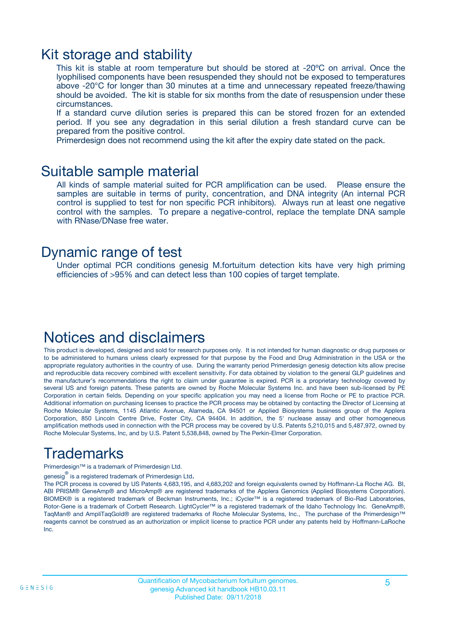### Kit storage and stability

This kit is stable at room temperature but should be stored at -20ºC on arrival. Once the lyophilised components have been resuspended they should not be exposed to temperatures above -20°C for longer than 30 minutes at a time and unnecessary repeated freeze/thawing should be avoided. The kit is stable for six months from the date of resuspension under these circumstances.

If a standard curve dilution series is prepared this can be stored frozen for an extended period. If you see any degradation in this serial dilution a fresh standard curve can be prepared from the positive control.

Primerdesign does not recommend using the kit after the expiry date stated on the pack.

### Suitable sample material

All kinds of sample material suited for PCR amplification can be used. Please ensure the samples are suitable in terms of purity, concentration, and DNA integrity (An internal PCR control is supplied to test for non specific PCR inhibitors). Always run at least one negative control with the samples. To prepare a negative-control, replace the template DNA sample with RNase/DNase free water.

### Dynamic range of test

Under optimal PCR conditions genesig M.fortuitum detection kits have very high priming efficiencies of >95% and can detect less than 100 copies of target template.

### Notices and disclaimers

This product is developed, designed and sold for research purposes only. It is not intended for human diagnostic or drug purposes or to be administered to humans unless clearly expressed for that purpose by the Food and Drug Administration in the USA or the appropriate regulatory authorities in the country of use. During the warranty period Primerdesign genesig detection kits allow precise and reproducible data recovery combined with excellent sensitivity. For data obtained by violation to the general GLP guidelines and the manufacturer's recommendations the right to claim under guarantee is expired. PCR is a proprietary technology covered by several US and foreign patents. These patents are owned by Roche Molecular Systems Inc. and have been sub-licensed by PE Corporation in certain fields. Depending on your specific application you may need a license from Roche or PE to practice PCR. Additional information on purchasing licenses to practice the PCR process may be obtained by contacting the Director of Licensing at Roche Molecular Systems, 1145 Atlantic Avenue, Alameda, CA 94501 or Applied Biosystems business group of the Applera Corporation, 850 Lincoln Centre Drive, Foster City, CA 94404. In addition, the 5' nuclease assay and other homogeneous amplification methods used in connection with the PCR process may be covered by U.S. Patents 5,210,015 and 5,487,972, owned by Roche Molecular Systems, Inc, and by U.S. Patent 5,538,848, owned by The Perkin-Elmer Corporation.

## Trademarks

Primerdesign™ is a trademark of Primerdesign Ltd.

genesig $^\circledR$  is a registered trademark of Primerdesign Ltd.

The PCR process is covered by US Patents 4,683,195, and 4,683,202 and foreign equivalents owned by Hoffmann-La Roche AG. BI, ABI PRISM® GeneAmp® and MicroAmp® are registered trademarks of the Applera Genomics (Applied Biosystems Corporation). BIOMEK® is a registered trademark of Beckman Instruments, Inc.; iCycler™ is a registered trademark of Bio-Rad Laboratories, Rotor-Gene is a trademark of Corbett Research. LightCycler™ is a registered trademark of the Idaho Technology Inc. GeneAmp®, TaqMan® and AmpliTaqGold® are registered trademarks of Roche Molecular Systems, Inc., The purchase of the Primerdesign™ reagents cannot be construed as an authorization or implicit license to practice PCR under any patents held by Hoffmann-LaRoche Inc.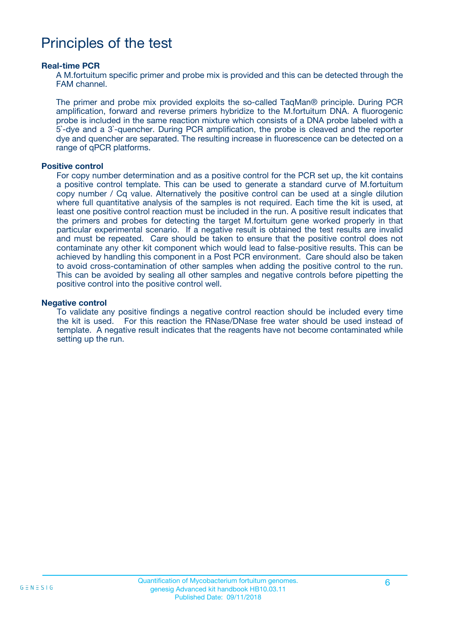### Principles of the test

#### **Real-time PCR**

A M.fortuitum specific primer and probe mix is provided and this can be detected through the FAM channel.

The primer and probe mix provided exploits the so-called TaqMan® principle. During PCR amplification, forward and reverse primers hybridize to the M.fortuitum DNA. A fluorogenic probe is included in the same reaction mixture which consists of a DNA probe labeled with a 5`-dye and a 3`-quencher. During PCR amplification, the probe is cleaved and the reporter dye and quencher are separated. The resulting increase in fluorescence can be detected on a range of qPCR platforms.

#### **Positive control**

For copy number determination and as a positive control for the PCR set up, the kit contains a positive control template. This can be used to generate a standard curve of M.fortuitum copy number / Cq value. Alternatively the positive control can be used at a single dilution where full quantitative analysis of the samples is not required. Each time the kit is used, at least one positive control reaction must be included in the run. A positive result indicates that the primers and probes for detecting the target M.fortuitum gene worked properly in that particular experimental scenario. If a negative result is obtained the test results are invalid and must be repeated. Care should be taken to ensure that the positive control does not contaminate any other kit component which would lead to false-positive results. This can be achieved by handling this component in a Post PCR environment. Care should also be taken to avoid cross-contamination of other samples when adding the positive control to the run. This can be avoided by sealing all other samples and negative controls before pipetting the positive control into the positive control well.

#### **Negative control**

To validate any positive findings a negative control reaction should be included every time the kit is used. For this reaction the RNase/DNase free water should be used instead of template. A negative result indicates that the reagents have not become contaminated while setting up the run.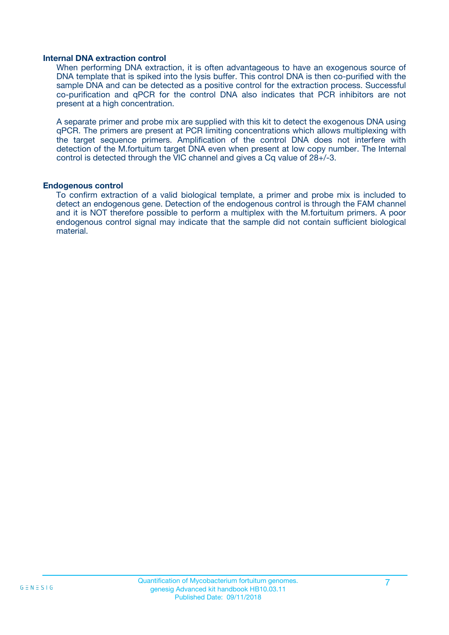#### **Internal DNA extraction control**

When performing DNA extraction, it is often advantageous to have an exogenous source of DNA template that is spiked into the lysis buffer. This control DNA is then co-purified with the sample DNA and can be detected as a positive control for the extraction process. Successful co-purification and qPCR for the control DNA also indicates that PCR inhibitors are not present at a high concentration.

A separate primer and probe mix are supplied with this kit to detect the exogenous DNA using qPCR. The primers are present at PCR limiting concentrations which allows multiplexing with the target sequence primers. Amplification of the control DNA does not interfere with detection of the M.fortuitum target DNA even when present at low copy number. The Internal control is detected through the VIC channel and gives a Cq value of 28+/-3.

#### **Endogenous control**

To confirm extraction of a valid biological template, a primer and probe mix is included to detect an endogenous gene. Detection of the endogenous control is through the FAM channel and it is NOT therefore possible to perform a multiplex with the M.fortuitum primers. A poor endogenous control signal may indicate that the sample did not contain sufficient biological material.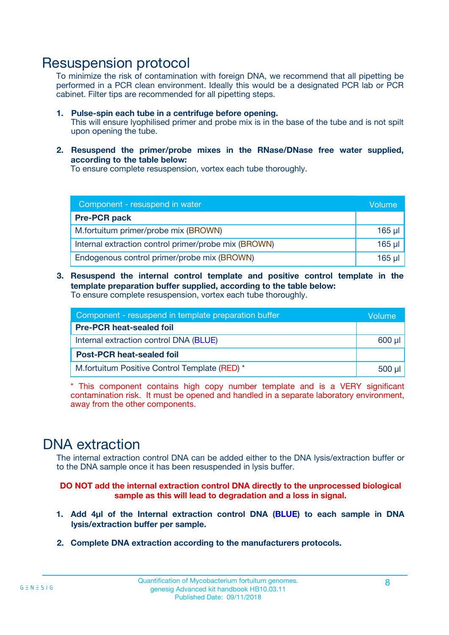### Resuspension protocol

To minimize the risk of contamination with foreign DNA, we recommend that all pipetting be performed in a PCR clean environment. Ideally this would be a designated PCR lab or PCR cabinet. Filter tips are recommended for all pipetting steps.

- **1. Pulse-spin each tube in a centrifuge before opening.** This will ensure lyophilised primer and probe mix is in the base of the tube and is not spilt upon opening the tube.
- **2. Resuspend the primer/probe mixes in the RNase/DNase free water supplied, according to the table below:**

To ensure complete resuspension, vortex each tube thoroughly.

| Component - resuspend in water                       |          |  |
|------------------------------------------------------|----------|--|
| <b>Pre-PCR pack</b>                                  |          |  |
| M.fortuitum primer/probe mix (BROWN)                 | $165$ µ  |  |
| Internal extraction control primer/probe mix (BROWN) | $165$ µl |  |
| Endogenous control primer/probe mix (BROWN)          | 165 µl   |  |

**3. Resuspend the internal control template and positive control template in the template preparation buffer supplied, according to the table below:** To ensure complete resuspension, vortex each tube thoroughly.

| Component - resuspend in template preparation buffer |  |  |  |
|------------------------------------------------------|--|--|--|
| <b>Pre-PCR heat-sealed foil</b>                      |  |  |  |
| Internal extraction control DNA (BLUE)               |  |  |  |
| <b>Post-PCR heat-sealed foil</b>                     |  |  |  |
| M.fortuitum Positive Control Template (RED) *        |  |  |  |

\* This component contains high copy number template and is a VERY significant contamination risk. It must be opened and handled in a separate laboratory environment, away from the other components.

### DNA extraction

The internal extraction control DNA can be added either to the DNA lysis/extraction buffer or to the DNA sample once it has been resuspended in lysis buffer.

**DO NOT add the internal extraction control DNA directly to the unprocessed biological sample as this will lead to degradation and a loss in signal.**

- **1. Add 4µl of the Internal extraction control DNA (BLUE) to each sample in DNA lysis/extraction buffer per sample.**
- **2. Complete DNA extraction according to the manufacturers protocols.**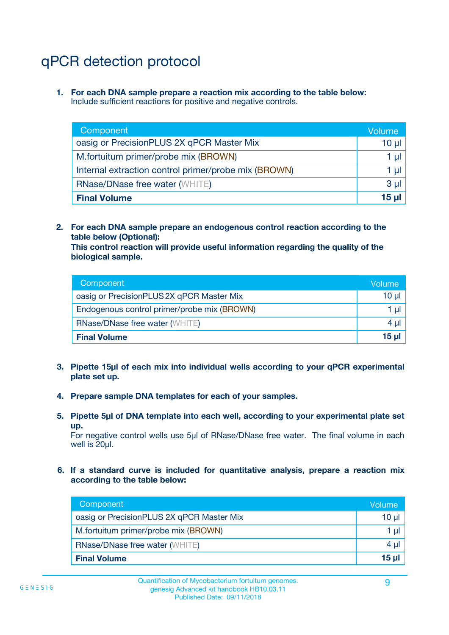# qPCR detection protocol

**1. For each DNA sample prepare a reaction mix according to the table below:** Include sufficient reactions for positive and negative controls.

| Component                                            | Volume   |
|------------------------------------------------------|----------|
| oasig or PrecisionPLUS 2X qPCR Master Mix            | $10 \mu$ |
| M.fortuitum primer/probe mix (BROWN)                 | 1 µI l   |
| Internal extraction control primer/probe mix (BROWN) | 1 µl     |
| <b>RNase/DNase free water (WHITE)</b>                | $3 \mu$  |
| <b>Final Volume</b>                                  | 15 µl    |

**2. For each DNA sample prepare an endogenous control reaction according to the table below (Optional):**

**This control reaction will provide useful information regarding the quality of the biological sample.**

| Component                                   | Volume   |
|---------------------------------------------|----------|
| oasig or PrecisionPLUS 2X qPCR Master Mix   | $10 \mu$ |
| Endogenous control primer/probe mix (BROWN) | 1 µI     |
| <b>RNase/DNase free water (WHITE)</b>       | $4 \mu$  |
| <b>Final Volume</b>                         | 15 µl    |

- **3. Pipette 15µl of each mix into individual wells according to your qPCR experimental plate set up.**
- **4. Prepare sample DNA templates for each of your samples.**
- **5. Pipette 5µl of DNA template into each well, according to your experimental plate set up.**

For negative control wells use 5µl of RNase/DNase free water. The final volume in each well is 20ul.

**6. If a standard curve is included for quantitative analysis, prepare a reaction mix according to the table below:**

| Component                                 | Volume          |
|-------------------------------------------|-----------------|
| oasig or PrecisionPLUS 2X qPCR Master Mix | $10 \mu$        |
| M.fortuitum primer/probe mix (BROWN)      | 1 µI I          |
| <b>RNase/DNase free water (WHITE)</b>     | $4 \mu$         |
| <b>Final Volume</b>                       | 15 <sub>µ</sub> |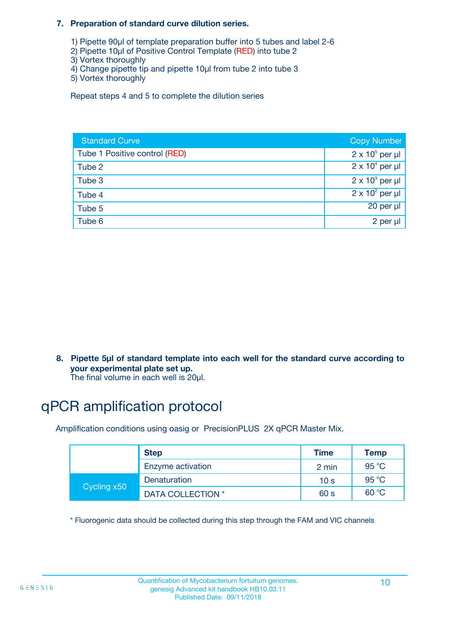#### **7. Preparation of standard curve dilution series.**

- 1) Pipette 90µl of template preparation buffer into 5 tubes and label 2-6
- 2) Pipette 10µl of Positive Control Template (RED) into tube 2
- 3) Vortex thoroughly
- 4) Change pipette tip and pipette 10µl from tube 2 into tube 3
- 5) Vortex thoroughly

Repeat steps 4 and 5 to complete the dilution series

| <b>Standard Curve</b>         | <b>Copy Number</b>     |
|-------------------------------|------------------------|
| Tube 1 Positive control (RED) | $2 \times 10^5$ per µl |
| Tube 2                        | $2 \times 10^4$ per µl |
| Tube 3                        | $2 \times 10^3$ per µl |
| Tube 4                        | $2 \times 10^2$ per µl |
| Tube 5                        | 20 per µl              |
| Tube 6                        | 2 per µl               |

**8. Pipette 5µl of standard template into each well for the standard curve according to your experimental plate set up.**

#### The final volume in each well is 20µl.

## qPCR amplification protocol

Amplification conditions using oasig or PrecisionPLUS 2X qPCR Master Mix.

|             | <b>Step</b>       | <b>Time</b>     | Temp    |
|-------------|-------------------|-----------------|---------|
|             | Enzyme activation | 2 min           | 95 °C   |
| Cycling x50 | Denaturation      | 10 <sub>s</sub> | 95 $°C$ |
|             | DATA COLLECTION * | 60 s            | 60 °C   |

\* Fluorogenic data should be collected during this step through the FAM and VIC channels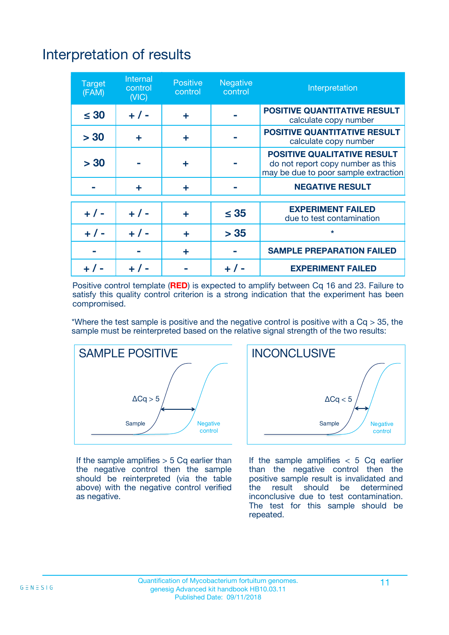# Interpretation of results

| <b>Target</b><br>(FAM) | <b>Internal</b><br>control<br>(NIC) | <b>Positive</b><br>control | <b>Negative</b><br>control | Interpretation                                                                                                  |
|------------------------|-------------------------------------|----------------------------|----------------------------|-----------------------------------------------------------------------------------------------------------------|
| $\leq 30$              | $+ 1 -$                             | ÷                          |                            | <b>POSITIVE QUANTITATIVE RESULT</b><br>calculate copy number                                                    |
| > 30                   | ٠                                   | ÷                          |                            | <b>POSITIVE QUANTITATIVE RESULT</b><br>calculate copy number                                                    |
| > 30                   |                                     | ÷                          |                            | <b>POSITIVE QUALITATIVE RESULT</b><br>do not report copy number as this<br>may be due to poor sample extraction |
|                        | ÷                                   | ÷                          |                            | <b>NEGATIVE RESULT</b>                                                                                          |
| $+ 1 -$                | $+ 1 -$                             | ÷                          | $\leq$ 35                  | <b>EXPERIMENT FAILED</b><br>due to test contamination                                                           |
| $+$ / -                | $+ 1 -$                             | ÷                          | > 35                       | $\star$                                                                                                         |
|                        |                                     | ÷                          |                            | <b>SAMPLE PREPARATION FAILED</b>                                                                                |
|                        |                                     |                            | $+$ /                      | <b>EXPERIMENT FAILED</b>                                                                                        |

Positive control template (**RED**) is expected to amplify between Cq 16 and 23. Failure to satisfy this quality control criterion is a strong indication that the experiment has been compromised.

\*Where the test sample is positive and the negative control is positive with a  $Ca > 35$ , the sample must be reinterpreted based on the relative signal strength of the two results:



If the sample amplifies  $> 5$  Cq earlier than the negative control then the sample should be reinterpreted (via the table above) with the negative control verified as negative.



If the sample amplifies  $< 5$  Cq earlier than the negative control then the positive sample result is invalidated and<br>the result should be determined  $the$  result should be inconclusive due to test contamination. The test for this sample should be repeated.